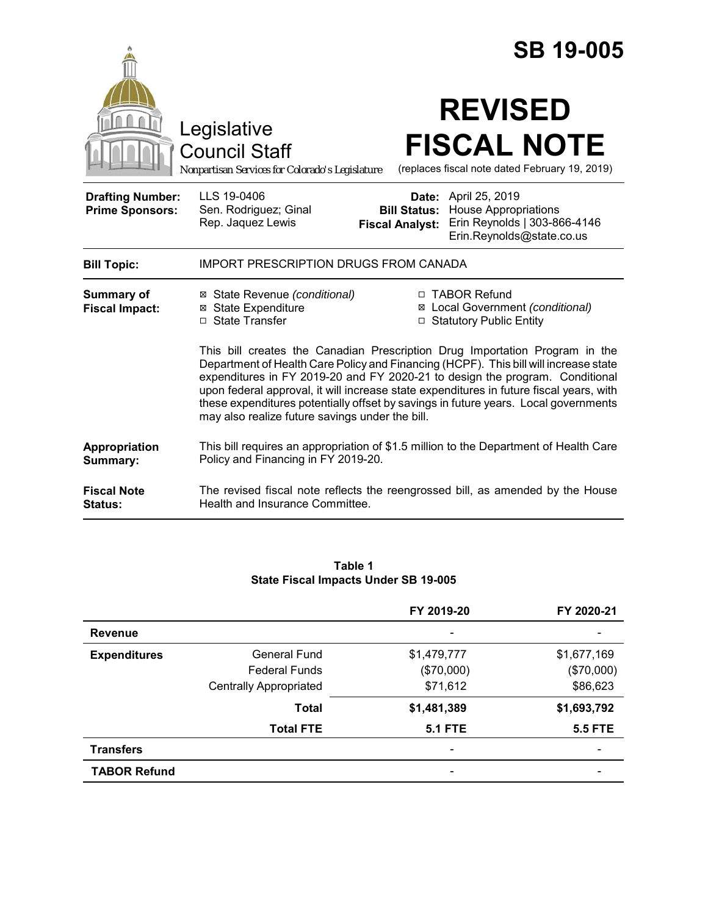|                                                   | <b>SB 19-005</b>                                                                                                                                                                                                                                                                                                                                                                                                                                                                         |  |  |
|---------------------------------------------------|------------------------------------------------------------------------------------------------------------------------------------------------------------------------------------------------------------------------------------------------------------------------------------------------------------------------------------------------------------------------------------------------------------------------------------------------------------------------------------------|--|--|
|                                                   | <b>REVISED</b><br>Legislative<br><b>FISCAL NOTE</b><br><b>Council Staff</b><br>(replaces fiscal note dated February 19, 2019)<br>Nonpartisan Services for Colorado's Legislature                                                                                                                                                                                                                                                                                                         |  |  |
| <b>Drafting Number:</b><br><b>Prime Sponsors:</b> | LLS 19-0406<br>Date: April 25, 2019<br>Sen. Rodriguez; Ginal<br><b>House Appropriations</b><br><b>Bill Status:</b><br>Rep. Jaquez Lewis<br>Erin Reynolds   303-866-4146<br><b>Fiscal Analyst:</b><br>Erin.Reynolds@state.co.us                                                                                                                                                                                                                                                           |  |  |
| <b>Bill Topic:</b>                                | <b>IMPORT PRESCRIPTION DRUGS FROM CANADA</b>                                                                                                                                                                                                                                                                                                                                                                                                                                             |  |  |
| <b>Summary of</b><br><b>Fiscal Impact:</b>        | □ TABOR Refund<br>⊠ State Revenue (conditional)<br>⊠ Local Government (conditional)<br><b>⊠</b> State Expenditure<br>□ State Transfer<br>□ Statutory Public Entity                                                                                                                                                                                                                                                                                                                       |  |  |
|                                                   | This bill creates the Canadian Prescription Drug Importation Program in the<br>Department of Health Care Policy and Financing (HCPF). This bill will increase state<br>expenditures in FY 2019-20 and FY 2020-21 to design the program. Conditional<br>upon federal approval, it will increase state expenditures in future fiscal years, with<br>these expenditures potentially offset by savings in future years. Local governments<br>may also realize future savings under the bill. |  |  |
| Appropriation<br>Summary:                         | This bill requires an appropriation of \$1.5 million to the Department of Health Care<br>Policy and Financing in FY 2019-20.                                                                                                                                                                                                                                                                                                                                                             |  |  |
| <b>Fiscal Note</b><br>Status:                     | The revised fiscal note reflects the reengrossed bill, as amended by the House<br>Health and Insurance Committee.                                                                                                                                                                                                                                                                                                                                                                        |  |  |

### **Table 1 State Fiscal Impacts Under SB 19-005**

|                     |                               | FY 2019-20     | FY 2020-21     |
|---------------------|-------------------------------|----------------|----------------|
| <b>Revenue</b>      |                               |                |                |
| <b>Expenditures</b> | General Fund                  | \$1,479,777    | \$1,677,169    |
|                     | <b>Federal Funds</b>          | (\$70,000)     | (\$70,000)     |
|                     | <b>Centrally Appropriated</b> | \$71,612       | \$86,623       |
|                     | <b>Total</b>                  | \$1,481,389    | \$1,693,792    |
|                     | <b>Total FTE</b>              | <b>5.1 FTE</b> | <b>5.5 FTE</b> |
| <b>Transfers</b>    |                               | -              |                |
| <b>TABOR Refund</b> |                               |                |                |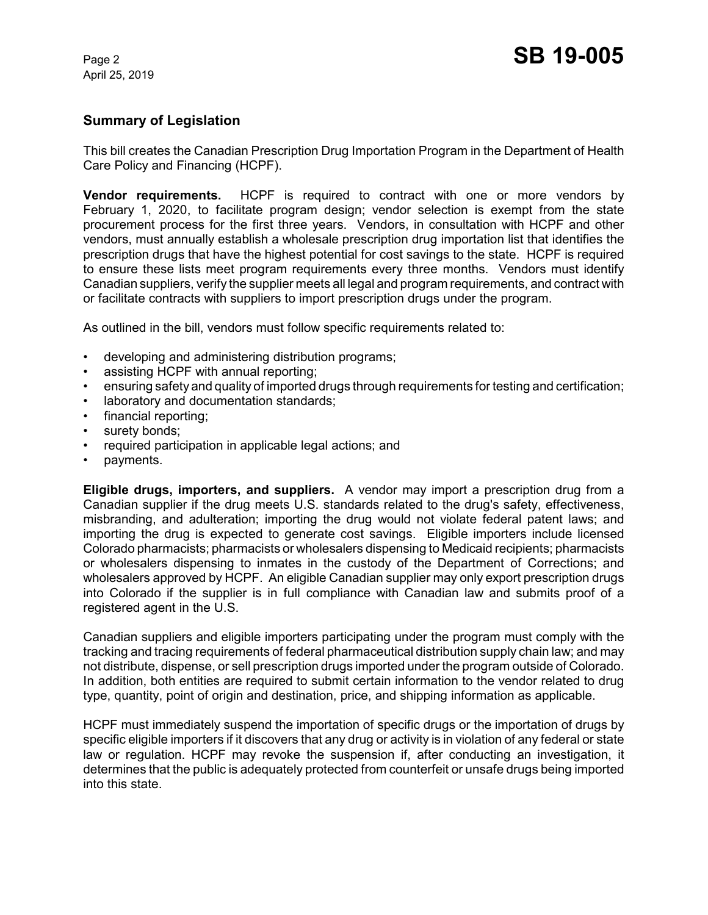# **Summary of Legislation**

This bill creates the Canadian Prescription Drug Importation Program in the Department of Health Care Policy and Financing (HCPF).

**Vendor requirements.** HCPF is required to contract with one or more vendors by February 1, 2020, to facilitate program design; vendor selection is exempt from the state procurement process for the first three years. Vendors, in consultation with HCPF and other vendors, must annually establish a wholesale prescription drug importation list that identifies the prescription drugs that have the highest potential for cost savings to the state. HCPF is required to ensure these lists meet program requirements every three months. Vendors must identify Canadian suppliers, verify the supplier meets all legal and program requirements, and contract with or facilitate contracts with suppliers to import prescription drugs under the program.

As outlined in the bill, vendors must follow specific requirements related to:

- developing and administering distribution programs;
- assisting HCPF with annual reporting;
- ensuring safety and quality of imported drugs through requirements for testing and certification;
- laboratory and documentation standards;
- financial reporting;
- surety bonds;
- required participation in applicable legal actions; and
- payments.

**Eligible drugs, importers, and suppliers.** A vendor may import a prescription drug from a Canadian supplier if the drug meets U.S. standards related to the drug's safety, effectiveness, misbranding, and adulteration; importing the drug would not violate federal patent laws; and importing the drug is expected to generate cost savings. Eligible importers include licensed Colorado pharmacists; pharmacists or wholesalers dispensing to Medicaid recipients; pharmacists or wholesalers dispensing to inmates in the custody of the Department of Corrections; and wholesalers approved by HCPF. An eligible Canadian supplier may only export prescription drugs into Colorado if the supplier is in full compliance with Canadian law and submits proof of a registered agent in the U.S.

Canadian suppliers and eligible importers participating under the program must comply with the tracking and tracing requirements of federal pharmaceutical distribution supply chain law; and may not distribute, dispense, or sell prescription drugs imported under the program outside of Colorado. In addition, both entities are required to submit certain information to the vendor related to drug type, quantity, point of origin and destination, price, and shipping information as applicable.

HCPF must immediately suspend the importation of specific drugs or the importation of drugs by specific eligible importers if it discovers that any drug or activity is in violation of any federal or state law or regulation. HCPF may revoke the suspension if, after conducting an investigation, it determines that the public is adequately protected from counterfeit or unsafe drugs being imported into this state.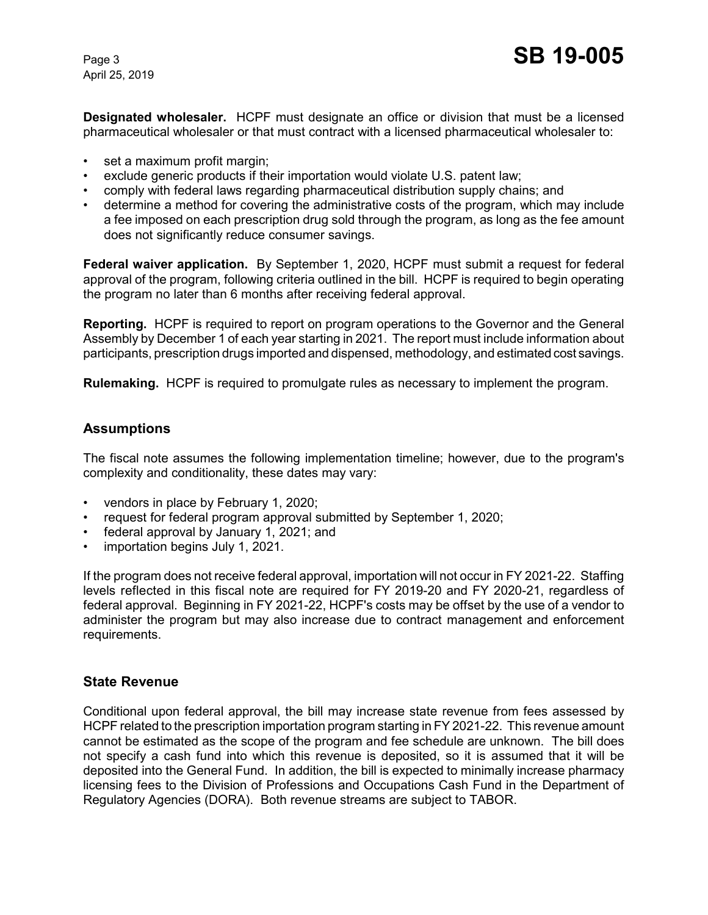**Designated wholesaler.** HCPF must designate an office or division that must be a licensed pharmaceutical wholesaler or that must contract with a licensed pharmaceutical wholesaler to:

- set a maximum profit margin:
- exclude generic products if their importation would violate U.S. patent law;
- comply with federal laws regarding pharmaceutical distribution supply chains; and
- determine a method for covering the administrative costs of the program, which may include a fee imposed on each prescription drug sold through the program, as long as the fee amount does not significantly reduce consumer savings.

**Federal waiver application.** By September 1, 2020, HCPF must submit a request for federal approval of the program, following criteria outlined in the bill. HCPF is required to begin operating the program no later than 6 months after receiving federal approval.

**Reporting.** HCPF is required to report on program operations to the Governor and the General Assembly by December 1 of each year starting in 2021. The report must include information about participants, prescription drugs imported and dispensed, methodology, and estimated cost savings.

**Rulemaking.** HCPF is required to promulgate rules as necessary to implement the program.

# **Assumptions**

The fiscal note assumes the following implementation timeline; however, due to the program's complexity and conditionality, these dates may vary:

- vendors in place by February 1, 2020;
- request for federal program approval submitted by September 1, 2020;
- federal approval by January 1, 2021; and
- importation begins July 1, 2021.

If the program does not receive federal approval, importation will not occur in FY 2021-22. Staffing levels reflected in this fiscal note are required for FY 2019-20 and FY 2020-21, regardless of federal approval. Beginning in FY 2021-22, HCPF's costs may be offset by the use of a vendor to administer the program but may also increase due to contract management and enforcement requirements.

# **State Revenue**

Conditional upon federal approval, the bill may increase state revenue from fees assessed by HCPF related to the prescription importation program starting in FY 2021-22. This revenue amount cannot be estimated as the scope of the program and fee schedule are unknown. The bill does not specify a cash fund into which this revenue is deposited, so it is assumed that it will be deposited into the General Fund. In addition, the bill is expected to minimally increase pharmacy licensing fees to the Division of Professions and Occupations Cash Fund in the Department of Regulatory Agencies (DORA). Both revenue streams are subject to TABOR.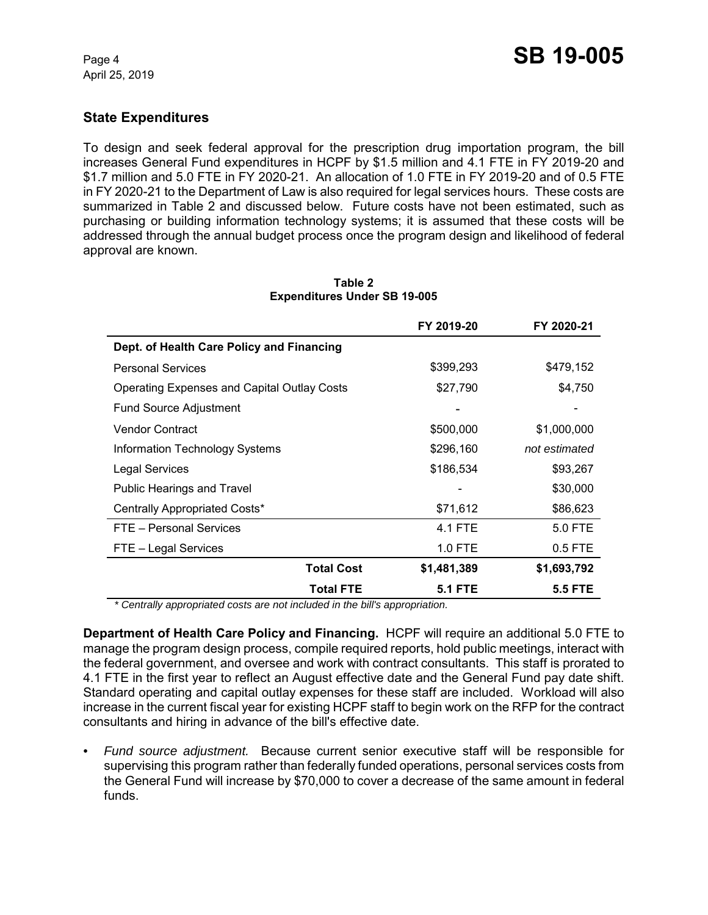# **State Expenditures**

To design and seek federal approval for the prescription drug importation program, the bill increases General Fund expenditures in HCPF by \$1.5 million and 4.1 FTE in FY 2019-20 and \$1.7 million and 5.0 FTE in FY 2020-21. An allocation of 1.0 FTE in FY 2019-20 and of 0.5 FTE in FY 2020-21 to the Department of Law is also required for legal services hours. These costs are summarized in Table 2 and discussed below. Future costs have not been estimated, such as purchasing or building information technology systems; it is assumed that these costs will be addressed through the annual budget process once the program design and likelihood of federal approval are known.

|                                                    | FY 2019-20     | FY 2020-21     |
|----------------------------------------------------|----------------|----------------|
| Dept. of Health Care Policy and Financing          |                |                |
| <b>Personal Services</b>                           | \$399,293      | \$479,152      |
| <b>Operating Expenses and Capital Outlay Costs</b> | \$27,790       | \$4,750        |
| Fund Source Adjustment                             |                |                |
| <b>Vendor Contract</b>                             | \$500,000      | \$1,000,000    |
| <b>Information Technology Systems</b>              | \$296,160      | not estimated  |
| Legal Services                                     | \$186,534      | \$93,267       |
| <b>Public Hearings and Travel</b>                  |                | \$30,000       |
| Centrally Appropriated Costs*                      | \$71,612       | \$86,623       |
| FTE - Personal Services                            | 4.1 FTE        | 5.0 FTE        |
| FTE – Legal Services                               | $1.0$ FTE      | $0.5$ FTE      |
| <b>Total Cost</b>                                  | \$1,481,389    | \$1,693,792    |
| <b>Total FTE</b>                                   | <b>5.1 FTE</b> | <b>5.5 FTE</b> |

#### **Table 2 Expenditures Under SB 19-005**

*\* Centrally appropriated costs are not included in the bill's appropriation.*

**Department of Health Care Policy and Financing.** HCPF will require an additional 5.0 FTE to manage the program design process, compile required reports, hold public meetings, interact with the federal government, and oversee and work with contract consultants. This staff is prorated to 4.1 FTE in the first year to reflect an August effective date and the General Fund pay date shift. Standard operating and capital outlay expenses for these staff are included. Workload will also increase in the current fiscal year for existing HCPF staff to begin work on the RFP for the contract consultants and hiring in advance of the bill's effective date.

*• Fund source adjustment.* Because current senior executive staff will be responsible for supervising this program rather than federally funded operations, personal services costs from the General Fund will increase by \$70,000 to cover a decrease of the same amount in federal funds.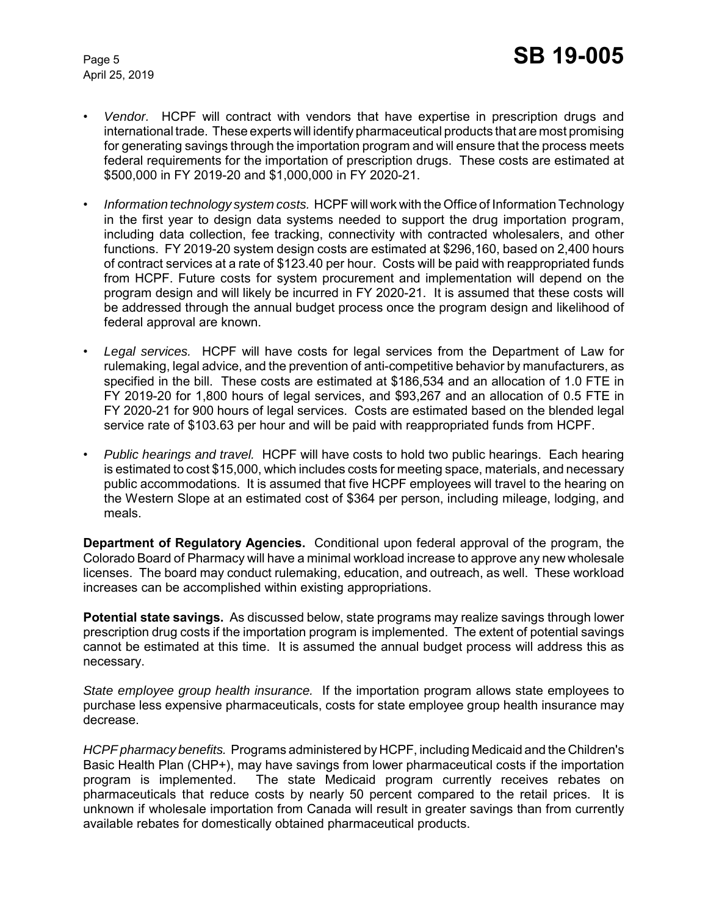- *Vendor.* HCPF will contract with vendors that have expertise in prescription drugs and international trade. These experts will identify pharmaceutical products that are most promising for generating savings through the importation program and will ensure that the process meets federal requirements for the importation of prescription drugs. These costs are estimated at \$500,000 in FY 2019-20 and \$1,000,000 in FY 2020-21.
- *Information technology system costs.* HCPF will work with the Office of Information Technology in the first year to design data systems needed to support the drug importation program, including data collection, fee tracking, connectivity with contracted wholesalers, and other functions. FY 2019-20 system design costs are estimated at \$296,160, based on 2,400 hours of contract services at a rate of \$123.40 per hour. Costs will be paid with reappropriated funds from HCPF. Future costs for system procurement and implementation will depend on the program design and will likely be incurred in FY 2020-21. It is assumed that these costs will be addressed through the annual budget process once the program design and likelihood of federal approval are known.
- *Legal services.* HCPF will have costs for legal services from the Department of Law for rulemaking, legal advice, and the prevention of anti-competitive behavior by manufacturers, as specified in the bill. These costs are estimated at \$186,534 and an allocation of 1.0 FTE in FY 2019-20 for 1,800 hours of legal services, and \$93,267 and an allocation of 0.5 FTE in FY 2020-21 for 900 hours of legal services. Costs are estimated based on the blended legal service rate of \$103.63 per hour and will be paid with reappropriated funds from HCPF.
- *Public hearings and travel.* HCPF will have costs to hold two public hearings. Each hearing is estimated to cost \$15,000, which includes costs for meeting space, materials, and necessary public accommodations. It is assumed that five HCPF employees will travel to the hearing on the Western Slope at an estimated cost of \$364 per person, including mileage, lodging, and meals.

**Department of Regulatory Agencies.** Conditional upon federal approval of the program, the Colorado Board of Pharmacy will have a minimal workload increase to approve any new wholesale licenses. The board may conduct rulemaking, education, and outreach, as well. These workload increases can be accomplished within existing appropriations.

**Potential state savings.** As discussed below, state programs may realize savings through lower prescription drug costs if the importation program is implemented. The extent of potential savings cannot be estimated at this time. It is assumed the annual budget process will address this as necessary.

*State employee group health insurance.* If the importation program allows state employees to purchase less expensive pharmaceuticals, costs for state employee group health insurance may decrease.

*HCPF pharmacy benefits.*Programs administered by HCPF, including Medicaid and the Children's Basic Health Plan (CHP+), may have savings from lower pharmaceutical costs if the importation program is implemented. The state Medicaid program currently receives rebates on pharmaceuticals that reduce costs by nearly 50 percent compared to the retail prices. It is unknown if wholesale importation from Canada will result in greater savings than from currently available rebates for domestically obtained pharmaceutical products.